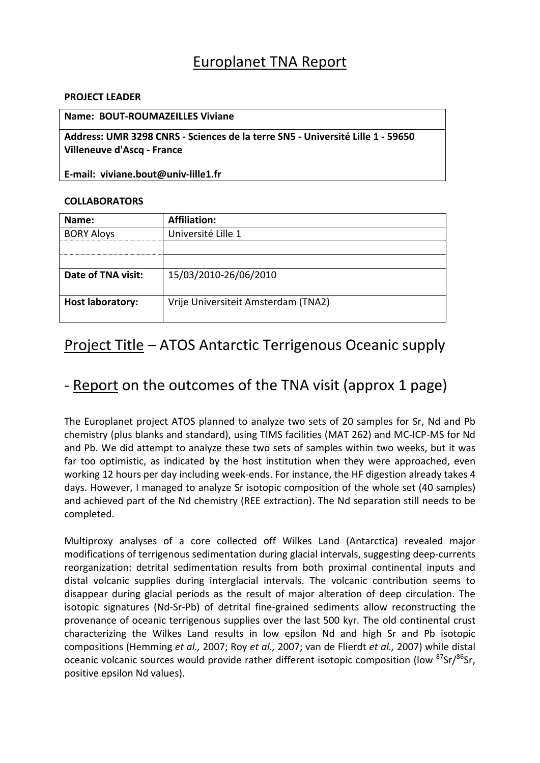### Europlanet TNA Report

#### **PROJECT LEADER**

#### **Name: BOUT‐ROUMAZEILLES Viviane**

**Address: UMR 3298 CNRS ‐ Sciences de la terre SN5 ‐ Université Lille 1 ‐ 59650 Villeneuve d'Ascq ‐ France**

**E‐mail: viviane.bout@univ‐lille1.fr**

#### **COLLABORATORS**

| Name:                   | <b>Affiliation:</b>                 |
|-------------------------|-------------------------------------|
| <b>BORY Aloys</b>       | Université Lille 1                  |
|                         |                                     |
|                         |                                     |
| Date of TNA visit:      | 15/03/2010-26/06/2010               |
| <b>Host laboratory:</b> | Vrije Universiteit Amsterdam (TNA2) |

### Project Title – ATOS Antarctic Terrigenous Oceanic supply

## ‐ Report on the outcomes of the TNA visit (approx 1 page)

The Europlanet project ATOS planned to analyze two sets of 20 samples for Sr, Nd and Pb chemistry (plus blanks and standard), using TIMS facilities (MAT 262) and MC‐ICP‐MS for Nd and Pb. We did attempt to analyze these two sets of samples within two weeks, but it was far too optimistic, as indicated by the host institution when they were approached, even working 12 hours per day including week‐ends. For instance, the HF digestion already takes 4 days. However, I managed to analyze Sr isotopic composition of the whole set (40 samples) and achieved part of the Nd chemistry (REE extraction). The Nd separation still needs to be completed.

Multiproxy analyses of a core collected off Wilkes Land (Antarctica) revealed major modifications of terrigenous sedimentation during glacial intervals, suggesting deep‐currents reorganization: detrital sedimentation results from both proximal continental inputs and distal volcanic supplies during interglacial intervals. The volcanic contribution seems to disappear during glacial periods as the result of major alteration of deep circulation. The isotopic signatures (Nd‐Sr‐Pb) of detrital fine‐grained sediments allow reconstructing the provenance of oceanic terrigenous supplies over the last 500 kyr. The old continental crust characterizing the Wilkes Land results in low epsilon Nd and high Sr and Pb isotopic compositions (Hemming *et al.,* 2007; Roy *et al.,* 2007; van de Flierdt *et al.,* 2007) while distal oceanic volcanic sources would provide rather different isotopic composition (low <sup>87</sup>Sr/<sup>86</sup>Sr, positive epsilon Nd values).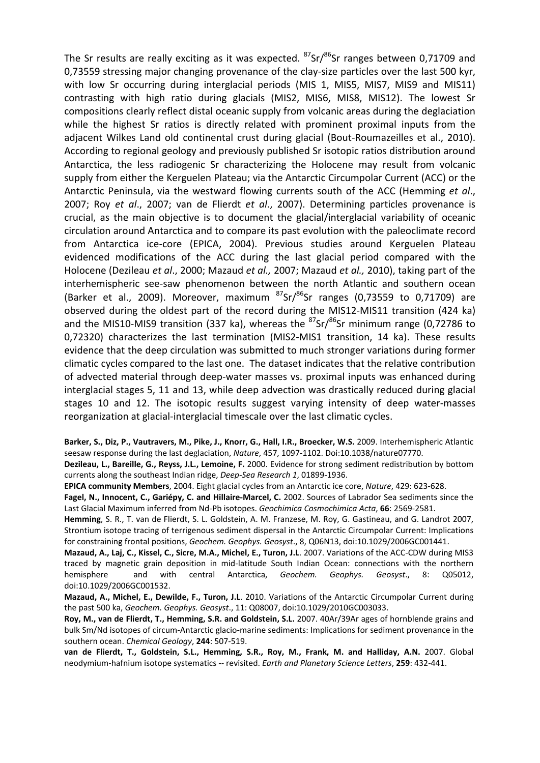The Sr results are really exciting as it was expected.  $87$ Sr/ $86$ Sr ranges between 0,71709 and 0,73559 stressing major changing provenance of the clay-size particles over the last 500 kyr, with low Sr occurring during interglacial periods (MIS 1, MIS5, MIS7, MIS9 and MIS11) contrasting with high ratio during glacials (MIS2, MIS6, MIS8, MIS12). The lowest Sr compositions clearly reflect distal oceanic supply from volcanic areas during the deglaciation while the highest Sr ratios is directly related with prominent proximal inputs from the adjacent Wilkes Land old continental crust during glacial (Bout‐Roumazeilles et al., 2010). According to regional geology and previously published Sr isotopic ratios distribution around Antarctica, the less radiogenic Sr characterizing the Holocene may result from volcanic supply from either the Kerguelen Plateau; via the Antarctic Circumpolar Current (ACC) or the Antarctic Peninsula, via the westward flowing currents south of the ACC (Hemming *et al*., 2007; Roy *et al*., 2007; van de Flierdt *et al*., 2007). Determining particles provenance is crucial, as the main objective is to document the glacial/interglacial variability of oceanic circulation around Antarctica and to compare its past evolution with the paleoclimate record from Antarctica ice-core (EPICA, 2004). Previous studies around Kerguelen Plateau evidenced modifications of the ACC during the last glacial period compared with the Holocene (Dezileau *et al*., 2000; Mazaud *et al.,* 2007; Mazaud *et al.,* 2010), taking part of the interhemispheric see-saw phenomenon between the north Atlantic and southern ocean (Barker et al., 2009). Moreover, maximum  ${}^{87}Sr/{}^{86}Sr$  ranges (0,73559 to 0,71709) are observed during the oldest part of the record during the MIS12‐MIS11 transition (424 ka) and the MIS10-MIS9 transition (337 ka), whereas the  $87$ Sr $/86$ Sr minimum range (0,72786 to 0,72320) characterizes the last termination (MIS2-MIS1 transition, 14 ka). These results evidence that the deep circulation was submitted to much stronger variations during former climatic cycles compared to the last one. The dataset indicates that the relative contribution of advected material through deep‐water masses vs. proximal inputs was enhanced during interglacial stages 5, 11 and 13, while deep advection was drastically reduced during glacial stages 10 and 12. The isotopic results suggest varying intensity of deep water-masses reorganization at glacial‐interglacial timescale over the last climatic cycles.

**Barker, S., Diz, P., Vautravers, M., Pike, J., Knorr, G., Hall, I.R., Broecker, W.S.** 2009. Interhemispheric Atlantic seesaw response during the last deglaciation, *Nature*, 457, 1097-1102. Doi:10.1038/nature07770.

**Dezileau, L., Bareille, G., Reyss, J.L., Lemoine, F.** 2000. Evidence for strong sediment redistribution by bottom currents along the southeast Indian ridge, *Deep‐Sea Research 1*, 01899‐1936.

**EPICA community Members**, 2004. Eight glacial cycles from an Antarctic ice core, *Nature*, 429: 623‐628.

**Fagel, N., Innocent, C., Gariépy, C. and Hillaire‐Marcel, C.** 2002. Sources of Labrador Sea sediments since the Last Glacial Maximum inferred from Nd‐Pb isotopes. *Geochimica Cosmochimica Acta*, **66**: 2569‐2581.

**Hemming**, S. R., T. van de Flierdt, S. L. Goldstein, A. M. Franzese, M. Roy, G. Gastineau, and G. Landrot 2007, Strontium isotope tracing of terrigenous sediment dispersal in the Antarctic Circumpolar Current: Implications for constraining frontal positions, *Geochem. Geophys. Geosyst*., 8, Q06N13, doi:10.1029/2006GC001441.

**Mazaud, A., Laj, C., Kissel, C., Sicre, M.A., Michel, E., Turon, J.L**. 2007. Variations of the ACC‐CDW during MIS3 traced by magnetic grain deposition in mid‐latitude South Indian Ocean: connections with the northern hemisphere and with central Antarctica, *Geochem. Geophys. Geosyst*., 8: Q05012, doi:10.1029/2006GC001532.

**Mazaud, A., Michel, E., Dewilde, F., Turon, J.L**. 2010. Variations of the Antarctic Circumpolar Current during the past 500 ka, *Geochem. Geophys. Geosyst*., 11: Q08007, doi:10.1029/2010GC003033.

**Roy, M., van de Flierdt, T., Hemming, S.R. and Goldstein, S.L.** 2007. 40Ar/39Ar ages of hornblende grains and bulk Sm/Nd isotopes of circum‐Antarctic glacio‐marine sediments: Implications for sediment provenance in the southern ocean. *Chemical Geology*, **244**: 507‐519.

**van de Flierdt, T., Goldstein, S.L., Hemming, S.R., Roy, M., Frank, M. and Halliday, A.N.** 2007. Global neodymium‐hafnium isotope systematics ‐‐ revisited. *Earth and Planetary Science Letters*, **259**: 432‐441.